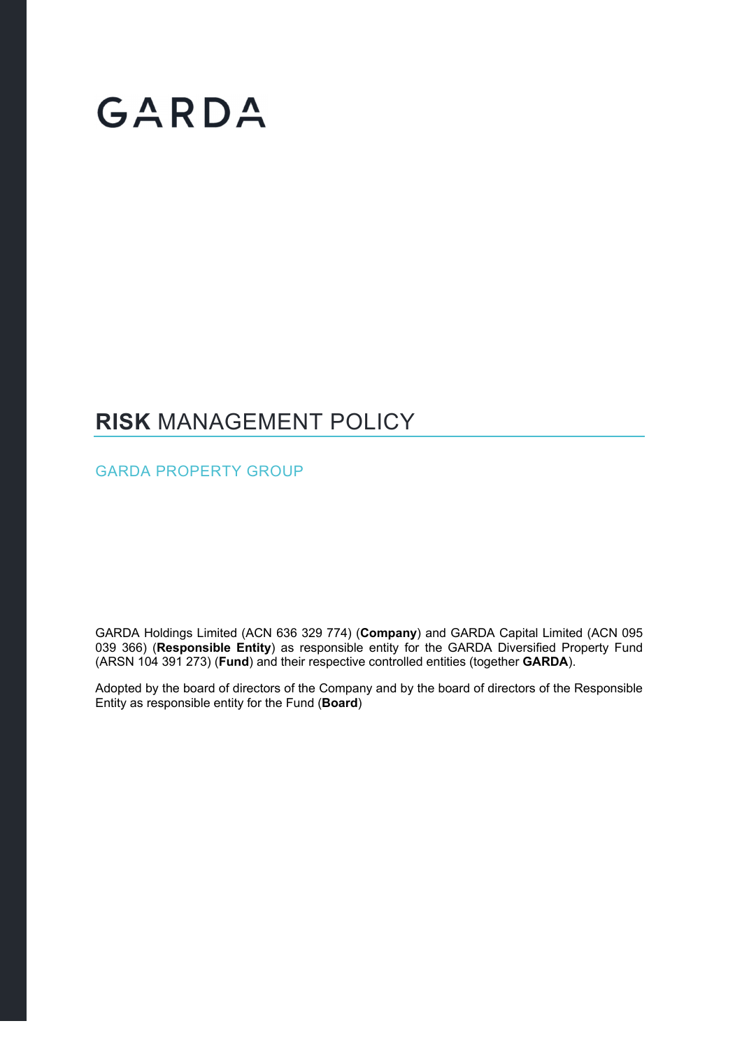# GARDA

### **RISK** MANAGEMENT POLICY

GARDA PROPERTY GROUP

GARDA Holdings Limited (ACN 636 329 774) (**Company**) and GARDA Capital Limited (ACN 095 039 366) (**Responsible Entity**) as responsible entity for the GARDA Diversified Property Fund (ARSN 104 391 273) (**Fund**) and their respective controlled entities (together **GARDA**).

Adopted by the board of directors of the Company and by the board of directors of the Responsible Entity as responsible entity for the Fund (**Board**)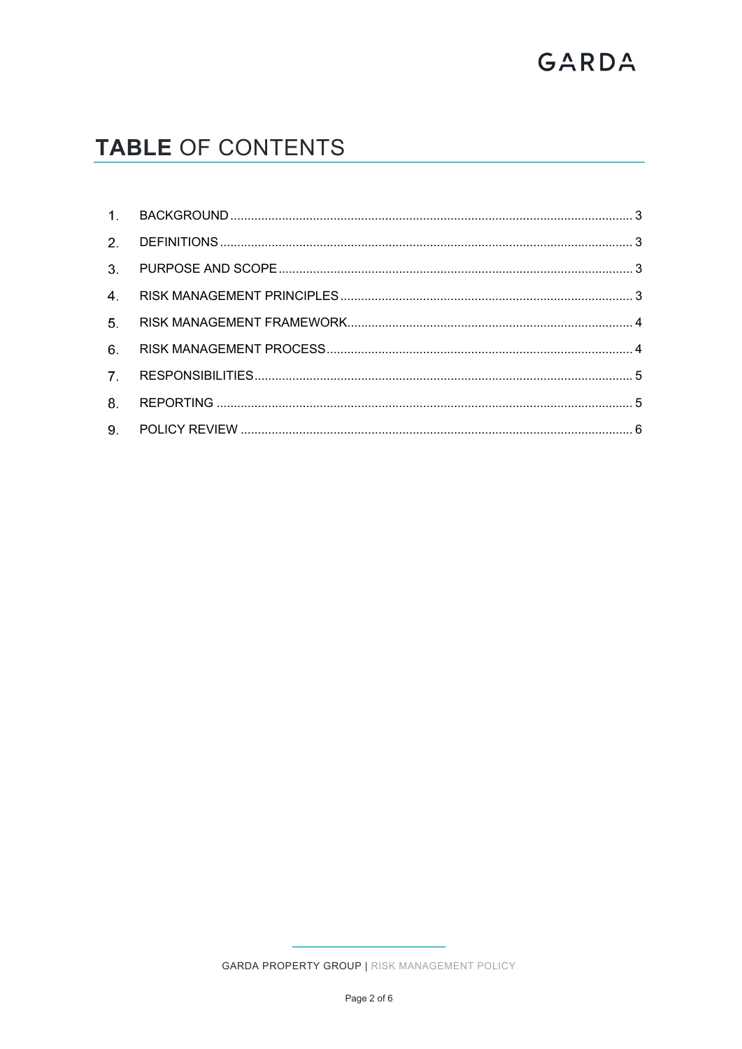# GARDA

## TABLE OF CONTENTS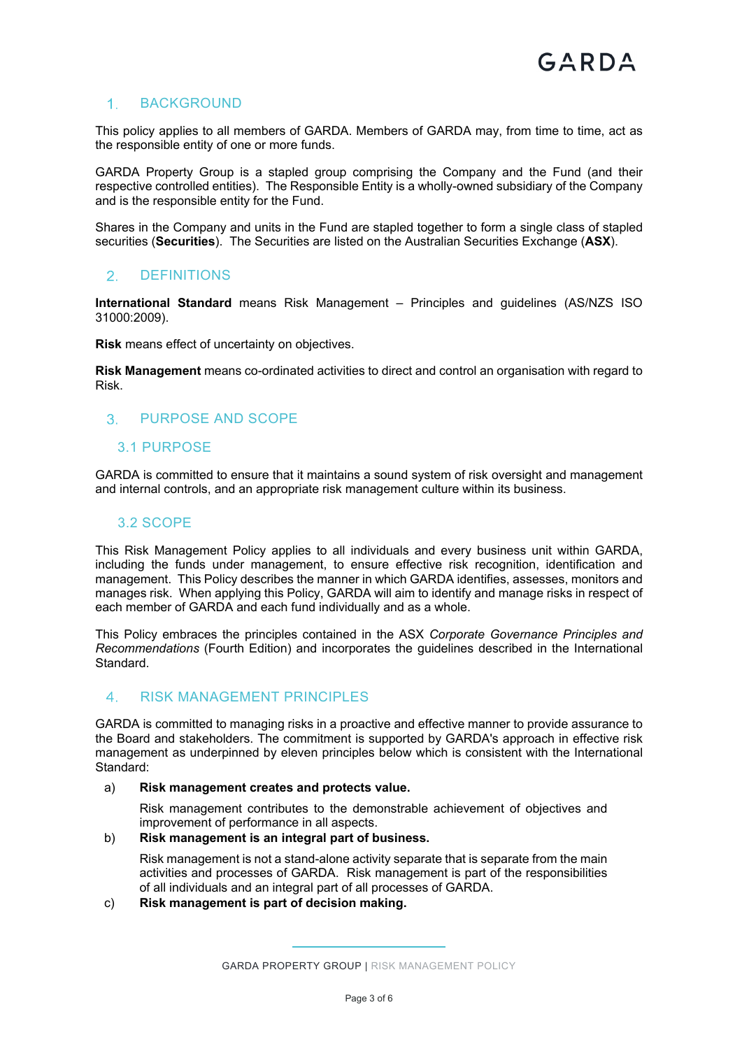#### 1. BACKGROUND

This policy applies to all members of GARDA. Members of GARDA may, from time to time, act as the responsible entity of one or more funds.

GARDA Property Group is a stapled group comprising the Company and the Fund (and their respective controlled entities). The Responsible Entity is a wholly-owned subsidiary of the Company and is the responsible entity for the Fund.

Shares in the Company and units in the Fund are stapled together to form a single class of stapled securities (**Securities**). The Securities are listed on the Australian Securities Exchange (**ASX**).

#### 2. DEFINITIONS

**International Standard** means Risk Management – Principles and guidelines (AS/NZS ISO 31000:2009).

**Risk** means effect of uncertainty on objectives.

**Risk Management** means co-ordinated activities to direct and control an organisation with regard to Risk.

#### 3 PURPOSE AND SCOPE

#### 3.1 PURPOSE

GARDA is committed to ensure that it maintains a sound system of risk oversight and management and internal controls, and an appropriate risk management culture within its business.

#### 3.2 SCOPE

This Risk Management Policy applies to all individuals and every business unit within GARDA, including the funds under management, to ensure effective risk recognition, identification and management. This Policy describes the manner in which GARDA identifies, assesses, monitors and manages risk. When applying this Policy, GARDA will aim to identify and manage risks in respect of each member of GARDA and each fund individually and as a whole.

This Policy embraces the principles contained in the ASX *Corporate Governance Principles and Recommendations* (Fourth Edition) and incorporates the guidelines described in the International Standard.

#### RISK MANAGEMENT PRINCIPLES

GARDA is committed to managing risks in a proactive and effective manner to provide assurance to the Board and stakeholders. The commitment is supported by GARDA's approach in effective risk management as underpinned by eleven principles below which is consistent with the International Standard:

#### a) **Risk management creates and protects value.**

Risk management contributes to the demonstrable achievement of objectives and improvement of performance in all aspects.

#### b) **Risk management is an integral part of business.**

Risk management is not a stand-alone activity separate that is separate from the main activities and processes of GARDA. Risk management is part of the responsibilities of all individuals and an integral part of all processes of GARDA.

c) **Risk management is part of decision making.** 

GARDA PROPERTY GROUP | RISK MANAGEMENT POLICY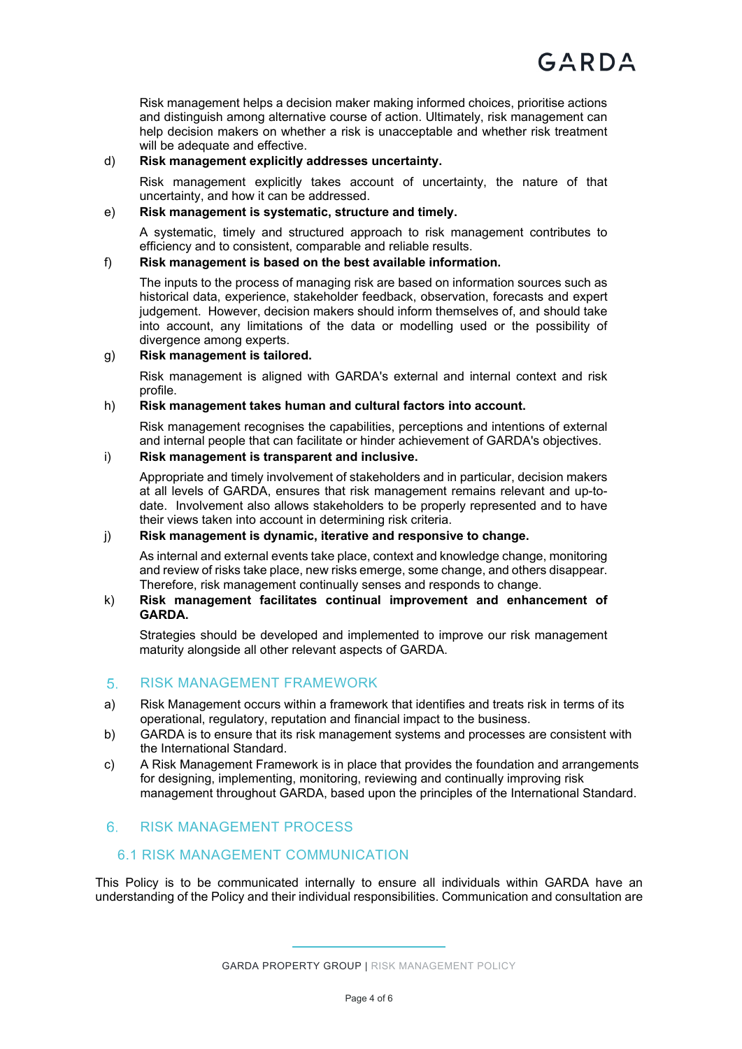Risk management helps a decision maker making informed choices, prioritise actions and distinguish among alternative course of action. Ultimately, risk management can help decision makers on whether a risk is unacceptable and whether risk treatment will be adequate and effective.

#### d) **Risk management explicitly addresses uncertainty.**

Risk management explicitly takes account of uncertainty, the nature of that uncertainty, and how it can be addressed.

#### e) **Risk management is systematic, structure and timely.**

A systematic, timely and structured approach to risk management contributes to efficiency and to consistent, comparable and reliable results.

#### f) **Risk management is based on the best available information.**

The inputs to the process of managing risk are based on information sources such as historical data, experience, stakeholder feedback, observation, forecasts and expert judgement. However, decision makers should inform themselves of, and should take into account, any limitations of the data or modelling used or the possibility of divergence among experts.

#### g) **Risk management is tailored.**

Risk management is aligned with GARDA's external and internal context and risk profile.

#### h) **Risk management takes human and cultural factors into account.**

Risk management recognises the capabilities, perceptions and intentions of external and internal people that can facilitate or hinder achievement of GARDA's objectives.

#### i) **Risk management is transparent and inclusive.**

Appropriate and timely involvement of stakeholders and in particular, decision makers at all levels of GARDA, ensures that risk management remains relevant and up-todate. Involvement also allows stakeholders to be properly represented and to have their views taken into account in determining risk criteria.

#### j) **Risk management is dynamic, iterative and responsive to change.**

As internal and external events take place, context and knowledge change, monitoring and review of risks take place, new risks emerge, some change, and others disappear. Therefore, risk management continually senses and responds to change.

#### k) **Risk management facilitates continual improvement and enhancement of GARDA.**

Strategies should be developed and implemented to improve our risk management maturity alongside all other relevant aspects of GARDA.

#### 5. RISK MANAGEMENT FRAMEWORK

- a) Risk Management occurs within a framework that identifies and treats risk in terms of its operational, regulatory, reputation and financial impact to the business.
- b) GARDA is to ensure that its risk management systems and processes are consistent with the International Standard.
- c) A Risk Management Framework is in place that provides the foundation and arrangements for designing, implementing, monitoring, reviewing and continually improving risk management throughout GARDA, based upon the principles of the International Standard.

#### 6 RISK MANAGEMENT PROCESS

#### 6.1 RISK MANAGEMENT COMMUNICATION

This Policy is to be communicated internally to ensure all individuals within GARDA have an understanding of the Policy and their individual responsibilities. Communication and consultation are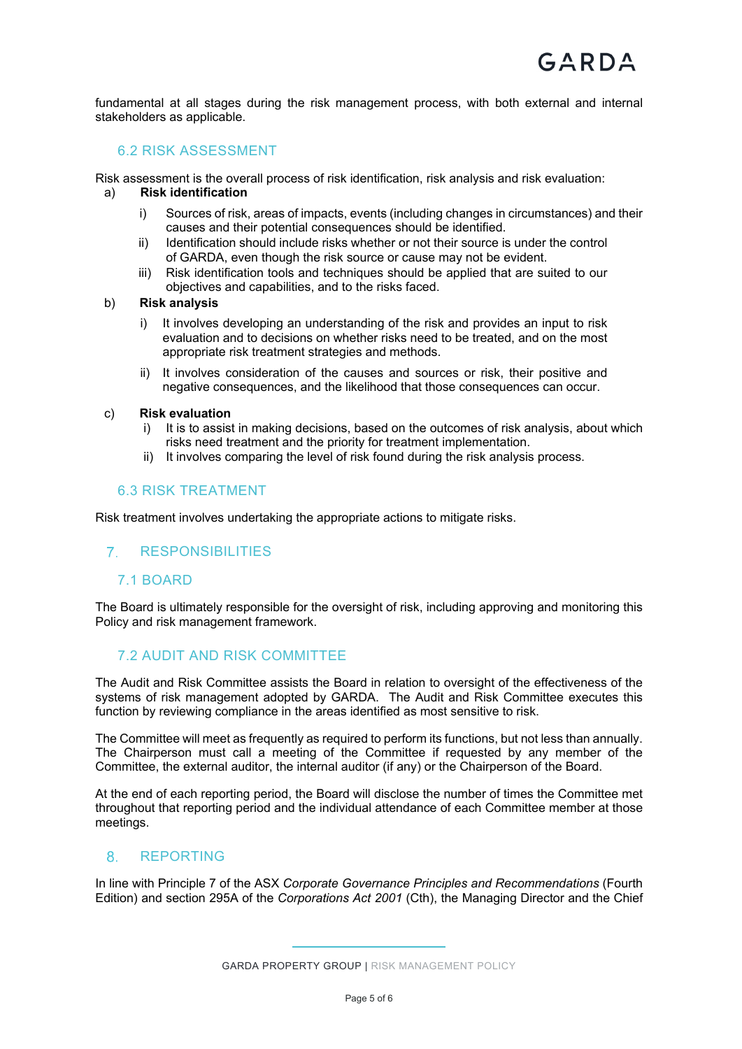fundamental at all stages during the risk management process, with both external and internal stakeholders as applicable.

#### 6.2 RISK ASSESSMENT

Risk assessment is the overall process of risk identification, risk analysis and risk evaluation:

#### a) **Risk identification**

- i) Sources of risk, areas of impacts, events (including changes in circumstances) and their causes and their potential consequences should be identified.
- ii) Identification should include risks whether or not their source is under the control of GARDA, even though the risk source or cause may not be evident.
- iii) Risk identification tools and techniques should be applied that are suited to our objectives and capabilities, and to the risks faced.

#### b) **Risk analysis**

- i) It involves developing an understanding of the risk and provides an input to risk evaluation and to decisions on whether risks need to be treated, and on the most appropriate risk treatment strategies and methods.
- ii) It involves consideration of the causes and sources or risk, their positive and negative consequences, and the likelihood that those consequences can occur.

#### c) **Risk evaluation**

- i) It is to assist in making decisions, based on the outcomes of risk analysis, about which risks need treatment and the priority for treatment implementation.
- ii) It involves comparing the level of risk found during the risk analysis process.

#### 6.3 RISK TREATMENT

Risk treatment involves undertaking the appropriate actions to mitigate risks.

#### RESPONSIBILITIES

#### 7.1 BOARD

The Board is ultimately responsible for the oversight of risk, including approving and monitoring this Policy and risk management framework.

#### 7.2 AUDIT AND RISK COMMITTEE

The Audit and Risk Committee assists the Board in relation to oversight of the effectiveness of the systems of risk management adopted by GARDA. The Audit and Risk Committee executes this function by reviewing compliance in the areas identified as most sensitive to risk.

The Committee will meet as frequently as required to perform its functions, but not less than annually. The Chairperson must call a meeting of the Committee if requested by any member of the Committee, the external auditor, the internal auditor (if any) or the Chairperson of the Board.

At the end of each reporting period, the Board will disclose the number of times the Committee met throughout that reporting period and the individual attendance of each Committee member at those meetings.

#### 8 REPORTING

In line with Principle 7 of the ASX *Corporate Governance Principles and Recommendations* (Fourth Edition) and section 295A of the *Corporations Act 2001* (Cth), the Managing Director and the Chief

GARDA PROPERTY GROUP | RISK MANAGEMENT POLICY